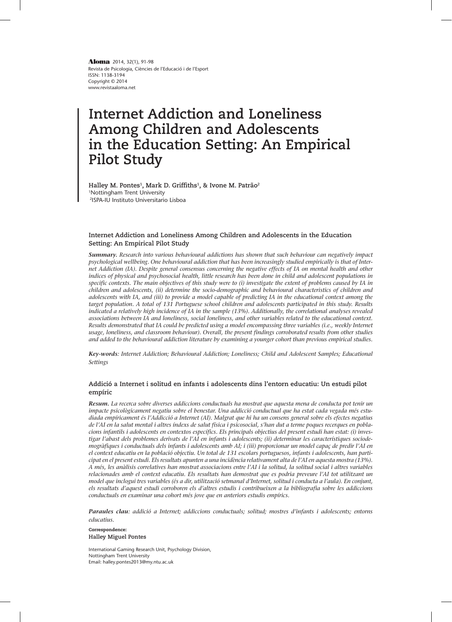Revista de Psicologia, Ciències de l'Educació i de l'Esport ISSN: 1138-3194 Copyright © 2014 www.revistaaloma.net **Aloma** 2014, 32(1), 91-98

# **Internet Addiction and Loneliness Among Children and Adolescents in the Education Setting: An Empirical Pilot Study**

**Halley M. Pontes1, Mark D. Griffiths1, & Ivone M. Patrão2** 1Nottingham Trent University 2ISPA-IU Instituto Universitario Lisboa

# **Internet Addiction and Loneliness Among Children and Adolescents in the Education Setting: An Empirical Pilot Study**

*Summary. Research into various behavioural addictions has shown that such behaviour can negatively impact psychological wellbeing. One behavioural addiction that has been increasingly studied empirically is that of Inter· net Addiction (IA). Despite general consensus concerning the negative effects of IA on mental health and other indices of physical and psychosocial health, little research has been done in child and adolescent populations in specific contexts. The main objectives of this study were to (i) investigate the extent of problems caused by IA in children and adolescents, (ii) determine the socio-demographic and behavioural characteristics of children and adolescents with IA, and (iii) to provide a model capable of predicting IA in the educational context among the target population. A total of 131 Portuguese school children and adolescents participated in this study. Results indicated a relatively high incidence of IA in the sample (13%). Additionally, the correlational analyses revealed associations between IA and loneliness, social loneliness, and other variables related to the educational context. Results demonstrated that IA could be predicted using a model encompassing three variables (i.e., weekly Internet usage, loneliness, and classroom behaviour). Overall, the present findings corroborated results from other studies and added to the behavioural addiction literature by examining a younger cohort than previous empirical studies.*

*Key-words: Internet Addiction; Behavioural Addiction; Loneliness; Child and Adolescent Samples; Educational Settings*

# **Addició a Internet i solitud en infants i adolescents dins l'entorn educatiu: Un estudi pilot empíric**

*Resum. La recerca sobre diverses addiccions conductuals ha mostrat que aquesta mena de conducta pot tenir un impacte psicològicament negatiu sobre el benestar. Una addicció conductual que ha estat cada vegada més estu· diada empíricament és l'Addicció a Internet (AI). Malgrat que hi ha un consens general sobre els efectes negatius de l'AI en la salut mental i altres índexs de salut física i psicosocial, s'han dut a terme poques recerques en pobla· cions infantils i adolescents en contextos específics. Els principals objectius del present estudi han estat: (i) inves· tigar l'abast dels problemes derivats de l'AI en infants i adolescents; (ii) determinar les característiques sociode· mogràfiques i conductuals dels infants i adolescents amb AI; i (iii) proporcionar un model capaç de predir l'AI en el context educatiu en la població objectiu. Un total de 131 escolars portuguesos, infants i adolescents, han parti· cipat en el present estudi. Els resultats apunten a una incidència relativament alta de l'AI en aquesta mostra (13%). A més, les anàlisis correlatives han mostrat associacions entre l'AI i la solitud, la solitud social i altres variables relacionades amb el context educatiu. Els resultats han demostrat que es podria preveure l'AI tot utilitzant un model que inclogui tres variables (és a dir, utilització setmanal d'Internet, solitud i conducta a l'aula). En conjunt, els resultats d'aquest estudi corroboren els d'altres estudis i contribueixen a la bibliografia sobre les addiccions conductuals en examinar una cohort més jove que en anteriors estudis empírics.*

*Paraules clau: addició a Internet; addiccions conductuals; solitud; mostres d'infants i adolescents; entorns educatius.*

Correspondence: **Halley Miguel Pontes**

International Gaming Research Unit, Psychology Division, Nottingham Trent University Email: halley.pontes2013@my.ntu.ac.uk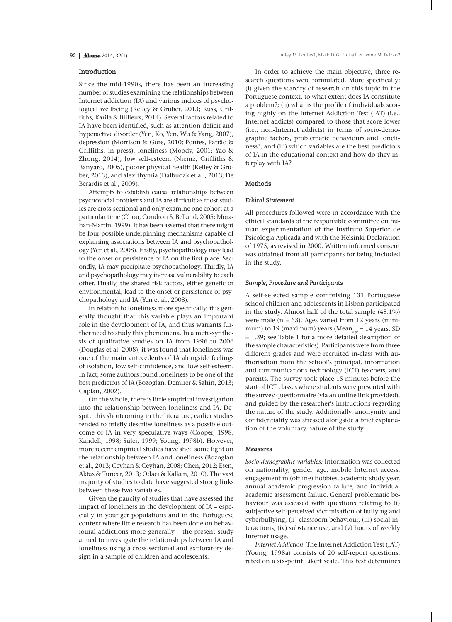#### **Introduction**

Since the mid-1990s, there has been an increasing number of studies examining the relationships between Internet addiction (IA) and various indices of psychological wellbeing (Kelley & Gruber, 2013; Kuss, Griffiths, Karila & Billieux, 2014). Several factors related to IA have been identified, such as attention deficit and hyperactive disorder (Yen, Ko, Yen, Wu & Yang, 2007), depression (Morrison & Gore, 2010; Pontes, Patrão & Griffiths, in press), loneliness (Moody, 2001; Yao & Zhong, 2014), low self-esteem (Niemz, Griffiths & Banyard, 2005), poorer physical health (Kelley & Gruber, 2013), and alexithymia (Dalbudak et al., 2013; De Berardis et al., 2009).

Attempts to establish causal relationships between psychosocial problems and IA are difficult as most studies are cross-sectional and only examine one cohort at a particular time (Chou, Condron & Belland, 2005; Morahan-Martin, 1999). It has been asserted that there might be four possible underpinning mechanisms capable of explaining associations between IA and psychopathology (Yen et al., 2008). Firstly, psychopathology may lead to the onset or persistence of IA on the first place. Secondly, IA may precipitate psychopathology. Thirdly, IA and psychopathology may increase vulnerability to each other. Finally, the shared risk factors, either genetic or environmental, lead to the onset or persistence of psychopathology and IA (Yen et al., 2008).

In relation to loneliness more specifically, it is generally thought that this variable plays an important role in the development of IA, and thus warrants further need to study this phenomena. In a meta-synthesis of qualitative studies on IA from 1996 to 2006 (Douglas et al. 2008), it was found that loneliness was one of the main antecedents of IA alongside feelings of isolation, low self-confidence, and low self-esteem. In fact, some authors found loneliness to be one of the best predictors of IA (Bozoglan, Demirer & Sahin, 2013; Caplan, 2002).

On the whole, there is little empirical investigation into the relationship between loneliness and IA. Despite this shortcoming in the literature, earlier studies tended to briefly describe loneliness as a possible outcome of IA in very speculative ways (Cooper, 1998; Kandell, 1998; Suler, 1999; Young, 1998b). However, more recent empirical studies have shed some light on the relationship between IA and loneliness (Bozoglan et al., 2013; Ceyhan & Ceyhan, 2008; Chen, 2012; Esen, Aktas & Tuncer, 2013; Odacı & Kalkan, 2010). The vast majority of studies to date have suggested strong links between these two variables.

Given the paucity of studies that have assessed the impact of loneliness in the development of IA – especially in younger populations and in the Portuguese context where little research has been done on behavioural addictions more generally – the present study aimed to investigate the relationships between IA and loneliness using a cross-sectional and exploratory design in a sample of children and adolescents.

In order to achieve the main objective, three research questions were formulated. More specifically: (i) given the scarcity of research on this topic in the Portuguese context, to what extent does IA constitute a problem?; (ii) what is the profile of individuals scoring highly on the Internet Addiction Test (IAT) (i.e., Internet addicts) compared to those that score lower (i.e., non-Internet addicts) in terms of socio-demographic factors, problematic behaviours and loneliness?; and (iii) which variables are the best predictors of IA in the educational context and how do they interplay with IA?

# **Methods**

#### *Ethical Statement*

All procedures followed were in accordance with the ethical standards of the responsible committee on human experimentation of the Instituto Superior de Psicologia Aplicada and with the Helsinki Declaration of 1975, as revised in 2000. Written informed consent was obtained from all participants for being included in the study.

#### *Sample, Procedure and Participants*

A self-selected sample comprising 131 Portuguese school children and adolescents in Lisbon participated in the study. Almost half of the total sample (48.1%) were male  $(n = 63)$ . Ages varied from 12 years (minimum) to 19 (maximum) years (Mean<sub>age</sub> = 14 years, SD = 1.39; see Table 1 for a more detailed description of the sample characteristics). Participants were from three different grades and were recruited in-class with authorisation from the school's principal, information and communications technology (ICT) teachers, and parents. The survey took place 15 minutes before the start of ICT classes where students were presented with the survey questionnaire (via an online link provided), and guided by the researcher's instructions regarding the nature of the study. Additionally, anonymity and confidentiality was stressed alongside a brief explanation of the voluntary nature of the study.

# *Measures*

*Socio-demographic variables:* Information was collected on nationality, gender, age, mobile Internet access, engagement in (offline) hobbies, academic study year, annual academic progression failure, and individual academic assessment failure. General problematic behaviour was assessed with questions relating to (i) subjective self-perceived victimisation of bullying and cyberbullying, (ii) classroom behaviour, (iii) social interactions, (iv) substance use, and (v) hours of weekly Internet usage.

*Internet Addiction*: The Internet Addiction Test (IAT) (Young, 1998a) consists of 20 self-report questions, rated on a six-point Likert scale. This test determines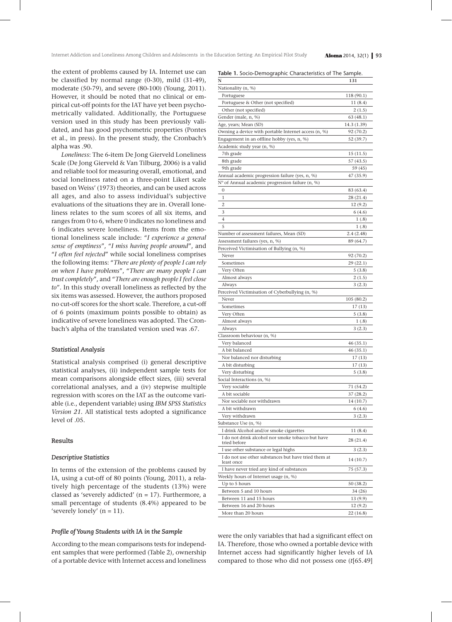the extent of problems caused by IA. Internet use can be classified by normal range (0-30), mild (31-49), moderate (50-79), and severe (80-100) (Young, 2011). However, it should be noted that no clinical or empirical cut-off points for the IAT have yet been psychometrically validated. Additionally, the Portuguese version used in this study has been previously validated, and has good psychometric properties (Pontes et al., in press). In the present study, the Cronbach's alpha was .90.

*Loneliness*: The 6-item De Jong Gierveld Loneliness Scale (De Jong Gierveld & Van Tilburg, 2006) is a valid and reliable tool for measuring overall, emotional, and social loneliness rated on a three-point Likert scale based on Weiss' (1973) theories, and can be used across all ages, and also to assess individual's subjective evaluations of the situations they are in. Overall loneliness relates to the sum scores of all six items, and ranges from 0 to 6, where 0 indicates no loneliness and 6 indicates severe loneliness. Items from the emotional loneliness scale include: "*I experience a general sense of emptiness*", "*I miss having people around*", and "*I often feel rejected*" while social loneliness comprises the following items: "*There are plenty of people I can rely on when I have problems*", "*There are many people I can trust completely*", and "*There are enough people I feel close to*". In this study overall loneliness as reflected by the six items was assessed. However, the authors proposed no cut-off scores for the short scale. Therefore, a cut-off of 6 points (maximum points possible to obtain) as indicative of severe loneliness was adopted. The Cronbach's alpha of the translated version used was .67.

# *Statistical Analysis*

Statistical analysis comprised (i) general descriptive statistical analyses, (ii) independent sample tests for mean comparisons alongside effect sizes, (iii) several correlational analyses, and a (iv) stepwise multiple regression with scores on the IAT as the outcome variable (i.e., dependent variable) using *IBM SPSS Statistics Version 21*. All statistical tests adopted a significance level of .05.

# **Results**

#### *Descriptive Statistics*

In terms of the extension of the problems caused by IA, using a cut-off of 80 points (Young, 2011), a relatively high percentage of the students (13%) were classed as 'severely addicted'  $(n = 17)$ . Furthermore, a small percentage of students (8.4%) appeared to be 's everely lonely'  $(n = 11)$ .

#### *Profile of Young Students with IA in the Sample*

According to the mean comparisons tests for independent samples that were performed (Table 2), ownership of a portable device with Internet access and loneliness

| Table 1. Socio-Demographic Characteristics of The Sample. |  |  |
|-----------------------------------------------------------|--|--|
|-----------------------------------------------------------|--|--|

| N                                                                  | 131             |
|--------------------------------------------------------------------|-----------------|
| Nationality (n, %)                                                 |                 |
| Portuguese                                                         | 118 (90.1)      |
| Portuguese & Other (not specified)                                 | 11(8.4)         |
| Other (not specified)                                              | 2(1.5)          |
| Gender (male, n, %)                                                | 63 (48.1)       |
| Age, years; Mean (SD)                                              | 14.3 (1.39)     |
| Owning a device with portable Internet access (n, %)               | 92 (70.2)       |
| Engagement in an offline hobby (yes, n, %)                         | 52 (39.7)       |
| Academic study year (n, %)                                         |                 |
| 7th grade                                                          | 15 (11.5)       |
| 8th grade                                                          | 57 (43.5)       |
| 9th grade                                                          | 59 (45)         |
| Annual academic progression failure (yes, n, %)                    | 47 (35.9)       |
| N° of Annual academic progression failure (n, %)                   |                 |
| 0                                                                  | 83 (63.4)       |
| 1                                                                  | 28 (21.4)       |
| 2                                                                  | 12(9.2)         |
| 3                                                                  | 6 (4.6)         |
| 4                                                                  |                 |
| 5                                                                  | 1(0.8)<br>1(.8) |
|                                                                    |                 |
| Number of assessment failures, Mean (SD)                           | 2.4(2.48)       |
| Assessment failures (yes, n, %)                                    | 89 (64.7)       |
| Perceived Victimisation of Bullying (n, %)                         |                 |
| Never                                                              | 92 (70.2)       |
| Sometimes                                                          | 29 (22.1)       |
| Very Often                                                         | 5(3.8)          |
| Almost always                                                      | 2(1.5)          |
| Always                                                             | 3(2.3)          |
| Perceived Victimisation of Cyberbullying (n, %)                    |                 |
| Never                                                              | 105 (80.2)      |
| Sometimes                                                          | 17(13)          |
| Very Often                                                         | 5(3.8)          |
| Almost always                                                      | 1(0.8)          |
| Always                                                             | 3(2.3)          |
| Classroom behaviour (n, %)                                         |                 |
| Very balanced                                                      | 46 (35.1)       |
| A bit balanced                                                     | 46 (35.1)       |
| Nor balanced nor disturbing                                        | 17 (13)         |
| A bit disturbing                                                   | 17 (13)         |
| Very disturbing                                                    | 5(3.8)          |
| Social Interactions (n, %)                                         |                 |
| Very sociable                                                      | 71 (54.2)       |
| A bit sociable                                                     | 37 (28.2)       |
| Nor sociable nor withdrawn                                         | 14 (10.7)       |
| A bit withdrawn                                                    | 6(4.6)          |
| Very withdrawn                                                     | 3(2.3)          |
| Substance Use (n, %)                                               |                 |
| I drink Alcohol and/or smoke cigarettes                            | 11(8.4)         |
| I do not drink alcohol nor smoke tobacco but have                  |                 |
| tried before                                                       | 28 (21.4)       |
| I use other substance or legal highs                               | 3 (2.3)         |
| I do not use other substances but have tried them at<br>least once | 14 (10.7)       |
| I have never tried any kind of substances                          | 75 (57.3)       |
| Weekly hours of Internet usage (n, %)                              |                 |
| Up to 5 hours                                                      | 50 (38.2)       |
| Between 5 and 10 hours                                             | 34 (26)         |
| Between 11 and 15 hours                                            | 13(9.9)         |
| Between 16 and 20 hours                                            | 12(9.2)         |
| More than 20 hours                                                 | 22 (16.8)       |

were the only variables that had a significant effect on IA. Therefore, those who owned a portable device with Internet access had significantly higher levels of IA compared to those who did not possess one (*t*[65.49]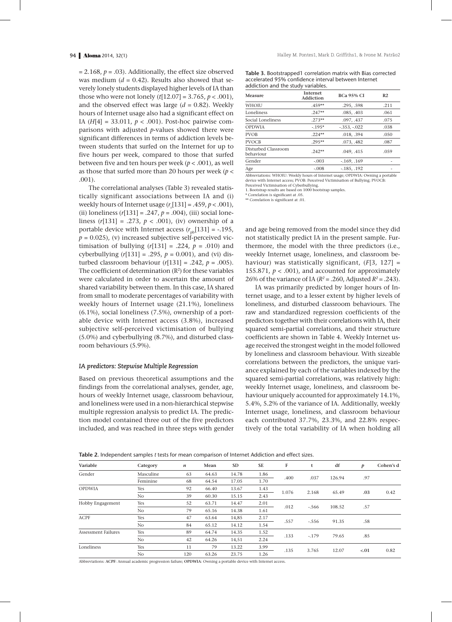$= 2.168$ ,  $p = .03$ ). Additionally, the effect size observed was medium  $(d = 0.42)$ . Results also showed that severely lonely students displayed higher levels of IA than those who were not lonely (*t*[12.07] = 3.765, *p* < .001), and the observed effect was large  $(d = 0.82)$ . Weekly hours of Internet usage also had a significant effect on IA (*H*[4] = 33.011, *p* < .001). Post-hoc pairwise comparisons with adjusted *p*-values showed there were significant differences in terms of addiction levels between students that surfed on the Internet for up to five hours per week, compared to those that surfed between five and ten hours per week (*p* < .001), as well as those that surfed more than 20 hours per week (*p* < .001).

The correlational analyses (Table 3) revealed statistically significant associations between IA and (i) weekly hours of Internet usage  $(r_s[131] = .459, p < .001)$ , (ii) loneliness (*r*[131] = .247, *p* = .004), (iii) social loneliness (*r*[131] = .273, *p* < .001), (iv) ownership of a portable device with Internet access  $(r_{\text{nb}}[131] = -.195,$  $p = 0.025$ , (v) increased subjective self-perceived victimisation of bullying  $(r[131] = .224, p = .010)$  and cyberbullying  $(r[131] = .295, p = 0.001)$ , and (vi) disturbed classroom behaviour  $(r[131] = .242, p = .005)$ . The coefficient of determination  $(R^2)$  for these variables were calculated in order to ascertain the amount of shared variability between them. In this case, IA shared from small to moderate percentages of variability with weekly hours of Internet usage (21.1%), loneliness (6.1%), social loneliness (7.5%), ownership of a portable device with Internet access (3.8%), increased subjective self-perceived victimisation of bullying (5.0%) and cyberbullying (8.7%), and disturbed classroom behaviours (5.9%).

#### *IA predictors: Stepwise Multiple Regression*

Based on previous theoretical assumptions and the findings from the correlational analyses, gender, age, hours of weekly Internet usage, classroom behaviour, and loneliness were used in a non-hierarchical stepwise multiple regression analysis to predict IA. The prediction model contained three out of the five predictors included, and was reached in three steps with gender

**Table 3.** Bootstrapped1 correlation matrix with Bias corrected accelerated 95% confidence interval between Internet addiction and the study variables.

| Internet<br>Addiction | <b>BCa 95% CI</b> | R <sub>2</sub> |
|-----------------------|-------------------|----------------|
| $.459**$              | .295, .598        | .211           |
| $.247**$              | .085, .403        | .061           |
| $.273**$              | .097, .437        | .075           |
| $-195*$               | $-.353, -.022$    | .038           |
| $.224**$              | .018, .394        | .050           |
| $.295**$              | .073, .482        | .087           |
| $.242**$              | .049415           | .059           |
| $-.003$               | $-169, 169$       |                |
| $-.008$               | $-185, .192$      |                |
|                       |                   |                |

Abbreviations: WHOIU: Weekly hours of Internet usage; OPDWIA: Owning a portable device with Internet access; PVOB: Perceived Victimisation of Bullying; PVOCB: Perceived Victimisation of Cyberbullying.

1. Bootstrap results are based on 1000 bootstrap samples.

Correlation is significant at .05

\*\* Correlation is significant at .01.

and age being removed from the model since they did not statistically predict IA in the present sample. Furthermore, the model with the three predictors (i.e., weekly Internet usage, loneliness, and classroom behaviour) was statistically significant, (*F*[3, 127] = 155.871,  $p < .001$ ), and accounted for approximately 26% of the variance of IA ( $R^2 = .260$ , Adjusted  $R^2 = .243$ ).

IA was primarily predicted by longer hours of Internet usage, and to a lesser extent by higher levels of loneliness, and disturbed classroom behaviours. The raw and standardized regression coefficients of the predictors together with their correlations with IA, their squared semi-partial correlations, and their structure coefficients are shown in Table 4. Weekly Internet usage received the strongest weight in the model followed by loneliness and classroom behaviour. With sizeable correlations between the predictors, the unique variance explained by each of the variables indexed by the squared semi-partial correlations, was relatively high: weekly Internet usage, loneliness, and classroom behaviour uniquely accounted for approximately 14.1%, 5.4%, 5.2% of the variance of IA. Additionally, weekly Internet usage, loneliness, and classroom behaviour each contributed 37.7%, 23.3%, and 22.8% respectively of the total variability of IA when holding all

| <b>Table 2.</b> Independent samples t tests for mean comparison of Internet Addiction and effect sizes. |  |  |  |  |  |  |  |  |  |  |
|---------------------------------------------------------------------------------------------------------|--|--|--|--|--|--|--|--|--|--|
|---------------------------------------------------------------------------------------------------------|--|--|--|--|--|--|--|--|--|--|

| Variable                   | Category       | n   | Mean  | <b>SD</b> | <b>SE</b> | F     | t       | df             | p      | Cohen's d |
|----------------------------|----------------|-----|-------|-----------|-----------|-------|---------|----------------|--------|-----------|
| Gender                     | Masculine      | 63  | 64.63 | 14.78     | 1.86      | .400  | .037    | 126.94         | .97    |           |
|                            | Feminine       | 68  | 64.54 | 17.05     | 1.70      |       |         |                |        |           |
| <b>OPDWIA</b>              | Yes            | 92  | 66.40 | 13.67     | 1.43      | 1.076 | 2.168   |                | .03    | 0.42      |
|                            | No             | 39  | 60.30 | 15.15     | 2.43      |       |         | 65.49          |        |           |
| Hobby Engagement           | Yes            | 52  | 63.71 | 14.47     | 2.01      | .012  | $-.566$ |                | .57    |           |
|                            | No.            | 79  | 65.16 | 14.38     | 1.61      |       |         | 108.52         |        |           |
| <b>ACPF</b>                | Yes            | 47  | 63.64 | 14,85     | 2.17      | .557  | $-.556$ | 91.35          | .58    |           |
|                            | No             | 84  | 65.12 | 14.12     | 1.54      |       |         |                |        |           |
| <b>Assessment Failures</b> | Yes            | 89  | 64.74 | 14.35     | 1.52      | .133  | $-.179$ | 79.65          | .85    |           |
|                            | No             | 42  | 64.26 | 14,51     | 2.24      |       |         |                |        |           |
| Loneliness                 | Yes            | 11  | 79    | 13.22     | 3.99      |       |         | 3.765<br>12.07 | $-.01$ | 0.82      |
|                            | N <sub>o</sub> | 120 | 63.26 | 23.75     | 1.26      | .135  |         |                |        |           |

Abbreviations: **ACPF**: Annual academic progression failure; **OPDWIA**: Owning a portable device with Internet access.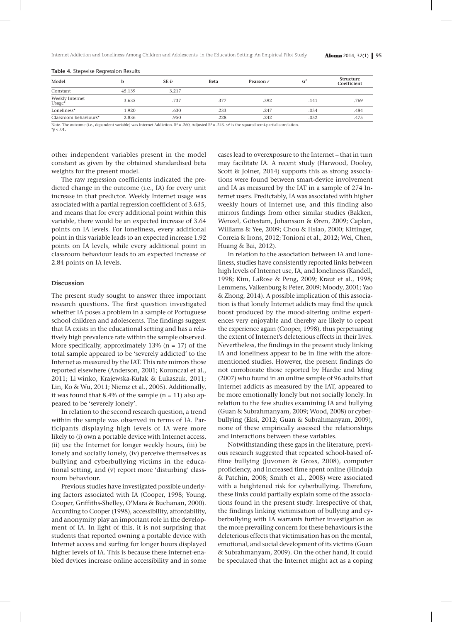| Model                                                                                               |        | $SE-b$ | Beta | Pearson r | $sr^2$ | Structure<br>Coefficient |
|-----------------------------------------------------------------------------------------------------|--------|--------|------|-----------|--------|--------------------------|
| Constant                                                                                            | 45.139 | 3.217  |      |           |        |                          |
| Weekly Internet<br>Usage*                                                                           | 3.635  | .737   | .377 | .392      | .141   | .769                     |
| Loneliness*                                                                                         | 1.920  | .630   | .233 | .247      | .054   | .484                     |
| Classroom behaviours*                                                                               | 2.836  | .950   | .228 | .242      | .052   | .475                     |
| المنافرة المتعارض والمتناقص والمتحدث والمتحدث والمتحدث والمتحدث والمتحدث والمتحدث والمتحدث والمتحدث |        |        |      | .         |        |                          |

#### **Table 4.** Stepwise Regression Results

Note. The outcome (i.e., dependent variable) was Internet Addiction.  $R^2 = .260$ , Adjusted  $R^2 = .243$ . sr<sup>2</sup> is the squared semi-partial correlation

 $*_{p}$  < .01.

other independent variables present in the model constant as given by the obtained standardised beta weights for the present model.

The raw regression coefficients indicated the predicted change in the outcome (i.e., IA) for every unit increase in that predictor. Weekly Internet usage was associated with a partial regression coefficient of 3.635, and means that for every additional point within this variable, there would be an expected increase of 3.64 points on IA levels. For loneliness, every additional point in this variable leads to an expected increase 1.92 points on IA levels, while every additional point in classroom behaviour leads to an expected increase of 2.84 points on IA levels.

#### **Discussion**

The present study sought to answer three important research questions. The first question investigated whether IA poses a problem in a sample of Portuguese school children and adolescents. The findings suggest that IA exists in the educational setting and has a relatively high prevalence rate within the sample observed. More specifically, approximately  $13\%$  (n = 17) of the total sample appeared to be 'severely addicted' to the Internet as measured by the IAT. This rate mirrors those reported elsewhere (Anderson, 2001; Koronczai et al., 2011; Li winko, Krajewska-Kułak & Łukaszuk, 2011; Lin, Ko & Wu, 2011; Niemz et al., 2005). Additionally, it was found that 8.4% of the sample  $(n = 11)$  also appeared to be 'severely lonely'.

In relation to the second research question, a trend within the sample was observed in terms of IA. Participants displaying high levels of IA were more likely to (i) own a portable device with Internet access, (ii) use the Internet for longer weekly hours, (iii) be lonely and socially lonely, (iv) perceive themselves as bullying and cyberbullying victims in the educational setting, and (v) report more 'disturbing' classroom behaviour.

Previous studies have investigated possible underlying factors associated with IA (Cooper, 1998; Young, Cooper, Griffiths-Shelley, O'Mara & Buchanan, 2000). According to Cooper (1998), accessibility, affordability, and anonymity play an important role in the development of IA. In light of this, it is not surprising that students that reported owning a portable device with Internet access and surfing for longer hours displayed higher levels of IA. This is because these internet-enabled devices increase online accessibility and in some cases lead to overexposure to the Internet – that in turn may facilitate IA. A recent study (Harwood, Dooley, Scott & Joiner, 2014) supports this as strong associations were found between smart-device involvement and IA as measured by the IAT in a sample of 274 Internet users. Predictably, IA was associated with higher weekly hours of Internet use, and this finding also mirrors findings from other similar studies (Bakken, Wenzel, Götestam, Johansson & Øren, 2009; Caplan, Williams & Yee, 2009; Chou & Hsiao, 2000; Kittinger, Correia & Irons, 2012; Tonioni et al., 2012; Wei, Chen, Huang & Bai, 2012).

In relation to the association between IA and loneliness, studies have consistently reported links between high levels of Internet use, IA, and loneliness (Kandell, 1998; Kim, LaRose & Peng, 2009; Kraut et al., 1998; Lemmens, Valkenburg & Peter, 2009; Moody, 2001; Yao & Zhong, 2014). A possible implication of this association is that lonely Internet addicts may find the quick boost produced by the mood-altering online experiences very enjoyable and thereby are likely to repeat the experience again (Cooper, 1998), thus perpetuating the extent of Internet's deleterious effects in their lives. Nevertheless, the findings in the present study linking IA and loneliness appear to be in line with the aforementioned studies. However, the present findings do not corroborate those reported by Hardie and Ming (2007) who found in an online sample of 96 adults that Internet addicts as measured by the IAT, appeared to be more emotionally lonely but not socially lonely. In relation to the few studies examining IA and bullying (Guan & Subrahmanyam, 2009; Wood, 2008) or cyberbullying (Eksi, 2012; Guan & Subrahmanyam, 2009), none of these empirically assessed the relationships and interactions between these variables.

Notwithstanding these gaps in the literature, previous research suggested that repeated school-based offline bullying (Juvonen & Gross, 2008), computer proficiency, and increased time spent online (Hinduja & Patchin, 2008; Smith et al., 2008) were associated with a heightened risk for cyberbullying. Therefore, these links could partially explain some of the associations found in the present study. Irrespective of that, the findings linking victimisation of bullying and cyberbullying with IA warrants further investigation as the more prevailing concern for these behaviours is the deleterious effects that victimisation has on the mental, emotional, and social development of its victims (Guan & Subrahmanyam, 2009). On the other hand, it could be speculated that the Internet might act as a coping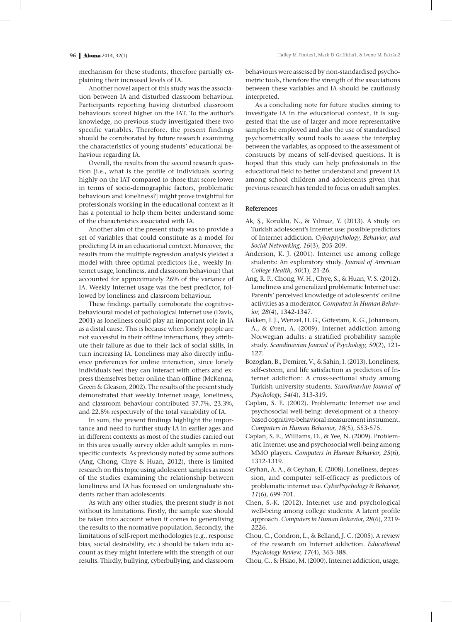mechanism for these students, therefore partially explaining their increased levels of IA.

Another novel aspect of this study was the association between IA and disturbed classroom behaviour. Participants reporting having disturbed classroom behaviours scored higher on the IAT. To the author's knowledge, no previous study investigated these two specific variables. Therefore, the present findings should be corroborated by future research examining the characteristics of young students' educational behaviour regarding IA.

Overall, the results from the second research question [i.e., what is the profile of individuals scoring highly on the IAT compared to those that score lower in terms of socio-demographic factors, problematic behaviours and loneliness?] might prove insightful for professionals working in the educational context as it has a potential to help them better understand some of the characteristics associated with IA.

Another aim of the present study was to provide a set of variables that could constitute as a model for predicting IA in an educational context. Moreover, the results from the multiple regression analysis yielded a model with three optimal predictors (i.e., weekly Internet usage, loneliness, and classroom behaviour) that accounted for approximately 26% of the variance of IA. Weekly Internet usage was the best predictor, followed by loneliness and classroom behaviour.

These findings partially corroborate the cognitivebehavioural model of pathological Internet use (Davis, 2001) as loneliness could play an important role in IA as a distal cause. This is because when lonely people are not successful in their offline interactions, they attribute their failure as due to their lack of social skills, in turn increasing IA. Loneliness may also directly influence preferences for online interaction, since lonely individuals feel they can interact with others and express themselves better online than offline (McKenna, Green & Gleason, 2002). The results of the present study demonstrated that weekly Internet usage, loneliness, and classroom behaviour contributed 37.7%, 23.3%, and 22.8% respectively of the total variability of IA.

In sum, the present findings highlight the importance and need to further study IA in earlier ages and in different contexts as most of the studies carried out in this area usually survey older adult samples in nonspecific contexts. As previously noted by some authors (Ang, Chong, Chye & Huan, 2012), there is limited research on this topic using adolescent samples as most of the studies examining the relationship between loneliness and IA has focussed on undergraduate students rather than adolescents.

As with any other studies, the present study is not without its limitations. Firstly, the sample size should be taken into account when it comes to generalising the results to the normative population. Secondly, the limitations of self-report methodologies (e.g., response bias, social desirability, etc.) should be taken into account as they might interfere with the strength of our results. Thirdly, bullying, cyberbullying, and classroom

behaviours were assessed by non-standardised psychometric tools, therefore the strength of the associations between these variables and IA should be cautiously interpreted.

As a concluding note for future studies aiming to investigate IA in the educational context, it is suggested that the use of larger and more representative samples be employed and also the use of standardised psychometrically sound tools to assess the interplay between the variables, as opposed to the assessment of constructs by means of self-devised questions. It is hoped that this study can help professionals in the educational field to better understand and prevent IA among school children and adolescents given that previous research has tended to focus on adult samples.

### **References**

- Ak, Ş., Koruklu, N., & Yılmaz, Y. (2013). A study on Turkish adolescent's Internet use: possible predictors of Internet addiction. *Cyberpsychology, Behavior, and Social Networking, 16*(3), 205-209.
- Anderson, K. J. (2001). Internet use among college students: An exploratory study. *Journal of American College Health, 50*(1), 21-26.
- Ang, R. P., Chong, W. H., Chye, S., & Huan, V. S. (2012). Loneliness and generalized problematic Internet use: Parents' perceived knowledge of adolescents' online activities as a moderator. *Computers in Human Behav· ior, 28*(4), 1342-1347.
- Bakken, I. J., Wenzel, H. G., Götestam, K. G., Johansson, A., & Øren, A. (2009). Internet addiction among Norwegian adults: a stratified probability sample study. *Scandinavian Journal of Psychology, 50*(2), 121- 127.
- Bozoglan, B., Demirer, V., & Sahin, I. (2013). Loneliness, self-esteem, and life satisfaction as predictors of Internet addiction: A cross-sectional study among Turkish university students. *Scandinavian Journal of Psychology, 54*(4), 313-319.
- Caplan, S. E. (2002). Problematic Internet use and psychosocial well-being: development of a theorybased cognitive-behavioral measurement instrument. *Computers in Human Behavior, 18*(5), 553-575.
- Caplan, S. E., Williams, D., & Yee, N. (2009). Problematic Internet use and psychosocial well-being among MMO players. *Computers in Human Behavior, 25*(6), 1312-1319.
- Ceyhan, A. A., & Ceyhan, E. (2008). Loneliness, depression, and computer self-efficacy as predictors of problematic internet use. *CyberPsychology & Behavior, 11*(6), 699-701.
- Chen, S.-K. (2012). Internet use and psychological well-being among college students: A latent profile approach. *Computers in Human Behavior, 28*(6), 2219- 2226.
- Chou, C., Condron, L., & Belland, J. C. (2005). A review of the research on Internet addiction. *Educational Psychology Review, 17*(4), 363-388.
- Chou, C., & Hsiao, M. (2000). Internet addiction, usage,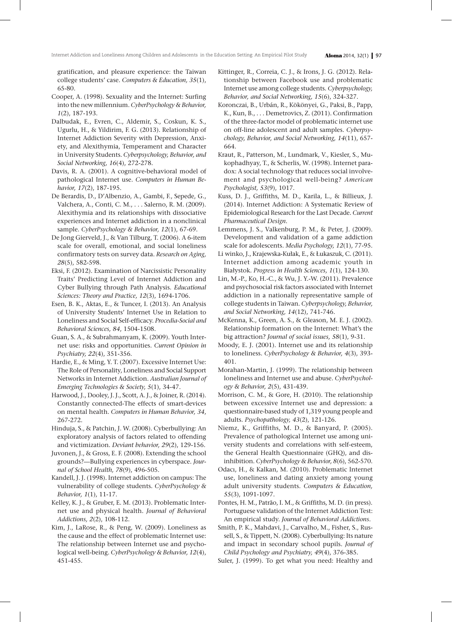gratification, and pleasure experience: the Taiwan college students' case. *Computers & Education, 35*(1), 65-80.

- Cooper, A. (1998). Sexuality and the Internet: Surfing into the new millennium. *CyberPsychology & Behavior, 1*(2), 187-193.
- Dalbudak, E., Evren, C., Aldemir, S., Coskun, K. S., Ugurlu, H., & Yildirim, F. G. (2013). Relationship of Internet Addiction Severity with Depression, Anxiety, and Alexithymia, Temperament and Character in University Students. *Cyberpsychology, Behavior, and Social Networking, 16*(4), 272-278.
- Davis, R. A. (2001). A cognitive-behavioral model of pathological Internet use. *Computers in Human Be· havior, 17*(2), 187-195.
- De Berardis, D., D'Albenzio, A., Gambi, F., Sepede, G., Valchera, A., Conti, C. M., . . . Salerno, R. M. (2009). Alexithymia and its relationships with dissociative experiences and Internet addiction in a nonclinical sample. *CyberPsychology & Behavior, 12*(1), 67-69.
- De Jong Gierveld, J., & Van Tilburg, T. (2006). A 6-item scale for overall, emotional, and social loneliness confirmatory tests on survey data. *Research on Aging, 28*(5), 582-598.
- Eksi, F. (2012). Examination of Narcissistic Personality Traits' Predicting Level of Internet Addiction and Cyber Bullying through Path Analysis. *Educational Sciences: Theory and Practice, 12*(3), 1694-1706.
- Esen, B. K., Aktas, E., & Tuncer, I. (2013). An Analysis of University Students' Internet Use in Relation to Loneliness and Social Self-efficacy. *Procedia-Social and Behavioral Sciences, 84*, 1504-1508.
- Guan, S. A., & Subrahmanyam, K. (2009). Youth Internet use: risks and opportunities. *Current Opinion in Psychiatry, 22*(4), 351-356.
- Hardie, E., & Ming, Y. T. (2007). Excessive Internet Use: The Role of Personality, Loneliness and Social Support Networks in Internet Addiction. *Australian Journal of Emerging Technologies & Society, 5*(1), 34-47.
- Harwood, J., Dooley, J. J., Scott, A. J., & Joiner, R. (2014). Constantly connected-The effects of smart-devices on mental health. *Computers in Human Behavior, 34*, 267-272.
- Hinduja, S., & Patchin, J. W. (2008). Cyberbullying: An exploratory analysis of factors related to offending and victimization. *Deviant behavior, 29*(2), 129-156.
- Juvonen, J., & Gross, E. F. (2008). Extending the school grounds?—Bullying experiences in cyberspace. *Jour· nal of School Health, 78*(9), 496-505.
- Kandell, J. J. (1998). Internet addiction on campus: The vulnerability of college students. *CyberPsychology & Behavior, 1*(1), 11-17.
- Kelley, K. J., & Gruber, E. M. (2013). Problematic Internet use and physical health. *Journal of Behavioral Addictions, 2*(2), 108-112.
- Kim, J., LaRose, R., & Peng, W. (2009). Loneliness as the cause and the effect of problematic Internet use: The relationship between Internet use and psychological well-being. *CyberPsychology & Behavior, 12*(4), 451-455.
- Kittinger, R., Correia, C. J., & Irons, J. G. (2012). Relationship between Facebook use and problematic Internet use among college students. *Cyberpsychology, Behavior, and Social Networking, 15*(6), 324-327.
- Koronczai, B., Urbán, R., Kökönyei, G., Paksi, B., Papp, K., Kun, B., . . . Demetrovics, Z. (2011). Confirmation of the three-factor model of problematic internet use on off-line adolescent and adult samples. *Cyberpsy· chology, Behavior, and Social Networking, 14*(11), 657- 664.
- Kraut, R., Patterson, M., Lundmark, V., Kiesler, S., Mukophadhyay, T., & Scherlis, W. (1998). Internet paradox: A social technology that reduces social involvement and psychological well-being? *American Psychologist, 53*(9), 1017.
- Kuss, D. J., Griffiths, M. D., Karila, L., & Billieux, J. (2014). Internet Addiction: A Systematic Review of Epidemiological Research for the Last Decade. *Current Pharmaceutical Design*.
- Lemmens, J. S., Valkenburg, P. M., & Peter, J. (2009). Development and validation of a game addiction scale for adolescents. *Media Psychology, 12*(1), 77-95.
- Li winko, J., Krajewska-Kułak, E., & Łukaszuk, C. (2011). Internet addiction among academic youth in Białystok. *Progress in Health Sciences, 1*(1), 124-130.
- Lin, M.-P., Ko, H.-C., & Wu, J. Y.-W. (2011). Prevalence and psychosocial risk factors associated with Internet addiction in a nationally representative sample of college students in Taiwan. *Cyberpsychology, Behavior, and Social Networking, 14*(12), 741-746.
- McKenna, K., Green, A. S., & Gleason, M. E. J. (2002). Relationship formation on the Internet: What's the big attraction? *Journal of social issues, 58*(1), 9-31.
- Moody, E. J. (2001). Internet use and its relationship to loneliness. *CyberPsychology & Behavior, 4*(3), 393- 401.
- Morahan-Martin, J. (1999). The relationship between loneliness and Internet use and abuse. *CyberPsychol· ogy & Behavior, 2*(5), 431-439.
- Morrison, C. M., & Gore, H. (2010). The relationship between excessive Internet use and depression: a questionnaire-based study of 1,319 young people and adults. *Psychopathology, 43*(2), 121-126.
- Niemz, K., Griffiths, M. D., & Banyard, P. (2005). Prevalence of pathological Internet use among university students and correlations with self-esteem, the General Health Questionnaire (GHQ), and disinhibition. *CyberPsychology & Behavior, 8*(6), 562-570.
- Odacı, H., & Kalkan, M. (2010). Problematic Internet use, loneliness and dating anxiety among young adult university students. *Computers & Education, 55*(3), 1091-1097.
- Pontes, H. M., Patrão, I. M., & Griffiths, M. D. (in press). Portuguese validation of the Internet Addiction Test: An empirical study. *Journal of Behavioral Addictions*.
- Smith, P. K., Mahdavi, J., Carvalho, M., Fisher, S., Russell, S., & Tippett, N. (2008). Cyberbullying: Its nature and impact in secondary school pupils. *Journal of Child Psychology and Psychiatry, 49*(4), 376-385.
- Suler, J. (1999). To get what you need: Healthy and